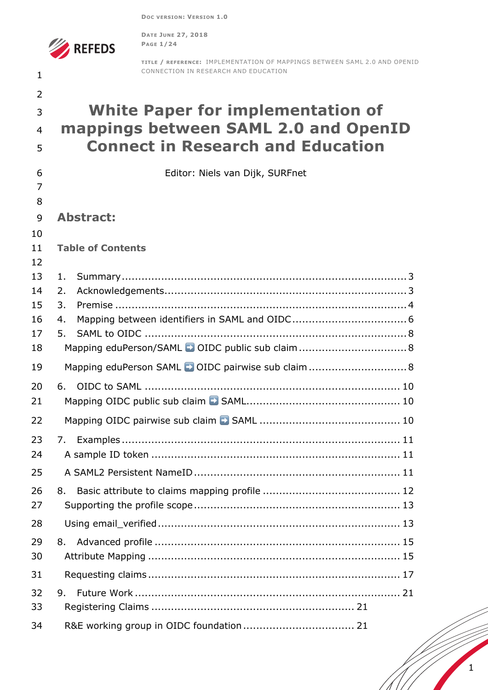**DOC VERSION: VERSION 1.0**



**DATE JUNE 27, 2018 PAGE 1/24**

**TITLE / REFERENCE:** IMPLEMENTATION OF MAPPINGS BETWEEN SAML 2.0 AND OPENID CONNECTION IN RESEARCH AND EDUCATION **White Paper for implementation of mappings between SAML 2.0 and OpenID Connect in Research and Education** Editor: Niels van Dijk, SURFnet **Abstract: Table of Contents** 1. Summary.......................................................................................3 2. Acknowledgements..........................................................................3 3. Premise .........................................................................................4 4. Mapping between identifiers in SAML and OIDC...................................6 5. SAML to OIDC ................................................................................8 Mapping eduPerson/SAML ➡ OIDC public sub claim.................................8 Mapping eduPerson SAML ➡ OIDC pairwise sub claim..............................8 6. OIDC to SAML .............................................................................. 10 Mapping OIDC public sub claim ➡ SAML............................................... 10 Mapping OIDC pairwise sub claim ➡ SAML ........................................... 10 7. Examples ..................................................................................... 11 A sample ID token ............................................................................ 11 A SAML2 Persistent NameID............................................................... 11 8. Basic attribute to claims mapping profile .......................................... 12 Supporting the profile scope............................................................... 13 Using email\_verified.......................................................................... 13 8. Advanced profile ........................................................................... 15 Attribute Mapping ............................................................................. 15 Requesting claims............................................................................. 17 9. Future Work ................................................................................. 21 Registering Claims .............................................................. 21 R&E working group in OIDC foundation.................................. 21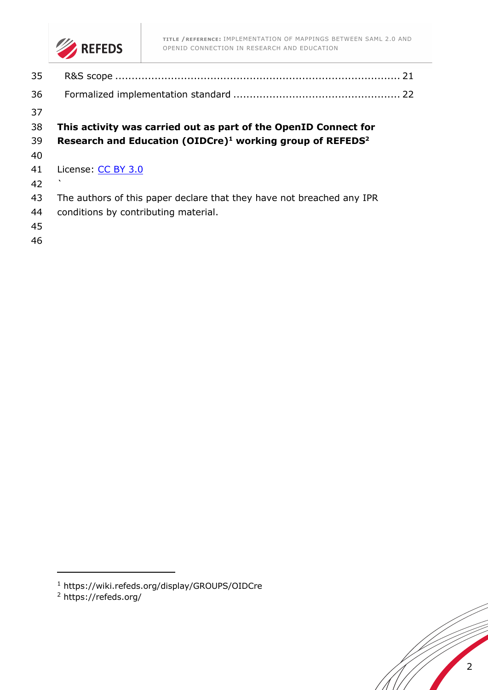

**TITLE /REFERENCE:** IMPLEMENTATION OF MAPPINGS BETWEEN SAML 2.0 AND OPENID CONNECTION IN RESEARCH AND EDUCATION

- 
- **This activity was carried out as part of the OpenID Connect for**
- **Research and Education (OIDCre)1 working group of REFEDS2**
- 
- 41 License: CC BY 3.0
- `
- The authors of this paper declare that they have not breached any IPR
- conditions by contributing material.
- 
- 



https://wiki.refeds.org/display/GROUPS/OIDCre

https://refeds.org/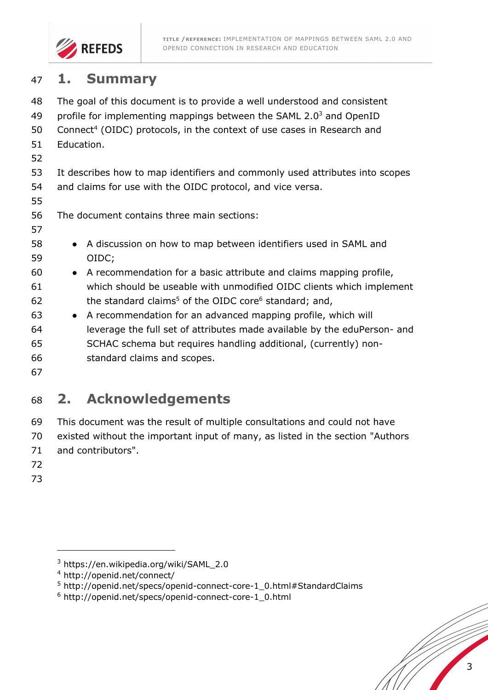

# **1. Summary**

| 48 | The goal of this document is to provide a well understood and consistent           |  |  |  |
|----|------------------------------------------------------------------------------------|--|--|--|
| 49 | profile for implementing mappings between the SAML $2.03$ and OpenID               |  |  |  |
| 50 | Connect <sup>4</sup> (OIDC) protocols, in the context of use cases in Research and |  |  |  |
| 51 | Education.                                                                         |  |  |  |
| 52 |                                                                                    |  |  |  |
| 53 | It describes how to map identifiers and commonly used attributes into scopes       |  |  |  |
| 54 | and claims for use with the OIDC protocol, and vice versa.                         |  |  |  |
| 55 |                                                                                    |  |  |  |
| 56 | The document contains three main sections:                                         |  |  |  |
| 57 |                                                                                    |  |  |  |
| 58 | A discussion on how to map between identifiers used in SAML and                    |  |  |  |
| 59 | OIDC;                                                                              |  |  |  |
| 60 | A recommendation for a basic attribute and claims mapping profile,<br>$\bullet$    |  |  |  |
| 61 | which should be useable with unmodified OIDC clients which implement               |  |  |  |
| 62 | the standard claims <sup>5</sup> of the OIDC core <sup>6</sup> standard; and,      |  |  |  |
| 63 | A recommendation for an advanced mapping profile, which will<br>$\bullet$          |  |  |  |
| 64 | leverage the full set of attributes made available by the eduPerson- and           |  |  |  |
| 65 | SCHAC schema but requires handling additional, (currently) non-                    |  |  |  |
| 66 | standard claims and scopes.                                                        |  |  |  |
| 67 |                                                                                    |  |  |  |

# **2. Acknowledgements**

 This document was the result of multiple consultations and could not have existed without the important input of many, as listed in the section "Authors and contributors".

- 
- 

https://en.wikipedia.org/wiki/SAML\_2.0

http://openid.net/connect/

http://openid.net/specs/openid-connect-core-1\_0.html#StandardClaims

http://openid.net/specs/openid-connect-core-1\_0.html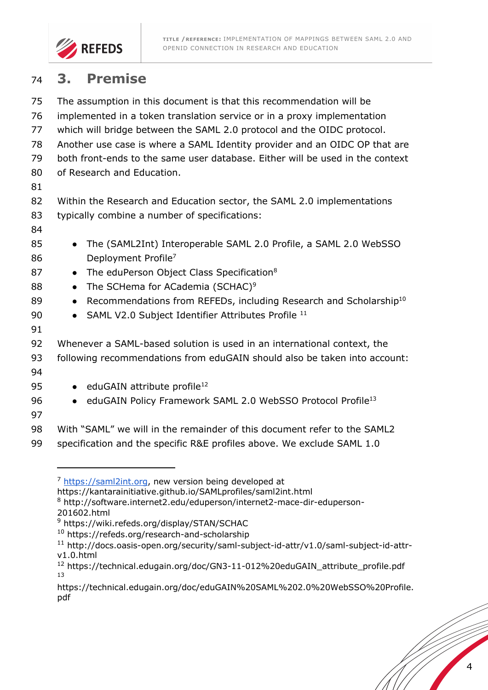

# **3. Premise**

| 75 | The assumption in this document is that this recommendation will be                        |
|----|--------------------------------------------------------------------------------------------|
| 76 | implemented in a token translation service or in a proxy implementation                    |
| 77 | which will bridge between the SAML 2.0 protocol and the OIDC protocol.                     |
| 78 | Another use case is where a SAML Identity provider and an OIDC OP that are                 |
| 79 | both front-ends to the same user database. Either will be used in the context              |
| 80 | of Research and Education.                                                                 |
| 81 |                                                                                            |
| 82 | Within the Research and Education sector, the SAML 2.0 implementations                     |
| 83 | typically combine a number of specifications:                                              |
| 84 |                                                                                            |
| 85 | The (SAML2Int) Interoperable SAML 2.0 Profile, a SAML 2.0 WebSSO                           |
| 86 | Deployment Profile <sup>7</sup>                                                            |
| 87 | The eduPerson Object Class Specification <sup>8</sup><br>$\bullet$                         |
| 88 | The SCHema for ACademia (SCHAC) <sup>9</sup><br>$\bullet$                                  |
| 89 | Recommendations from REFEDs, including Research and Scholarship <sup>10</sup><br>$\bullet$ |
| 90 | SAML V2.0 Subject Identifier Attributes Profile 11<br>$\bullet$                            |
| 91 |                                                                                            |
| 92 | Whenever a SAML-based solution is used in an international context, the                    |
| 93 | following recommendations from eduGAIN should also be taken into account:                  |
| 94 |                                                                                            |
| 95 | $\bullet$ eduGAIN attribute profile <sup>12</sup>                                          |
| 96 | eduGAIN Policy Framework SAML 2.0 WebSSO Protocol Profile <sup>13</sup><br>$\bullet$       |
| 97 |                                                                                            |
| 98 | With "SAML" we will in the remainder of this document refer to the SAML2                   |
| 99 | specification and the specific R&E profiles above. We exclude SAML 1.0                     |

https://saml2int.org, new version being developed at

https://kantarainitiative.github.io/SAMLprofiles/saml2int.html

 http://software.internet2.edu/eduperson/internet2-mace-dir-eduperson-201602.html

https://wiki.refeds.org/display/STAN/SCHAC

https://refeds.org/research-and-scholarship

 http://docs.oasis-open.org/security/saml-subject-id-attr/v1.0/saml-subject-id-attrv1.0.html

 https://technical.edugain.org/doc/GN3-11-012%20eduGAIN\_attribute\_profile.pdf 

https://technical.edugain.org/doc/eduGAIN%20SAML%202.0%20WebSSO%20Profile. pdf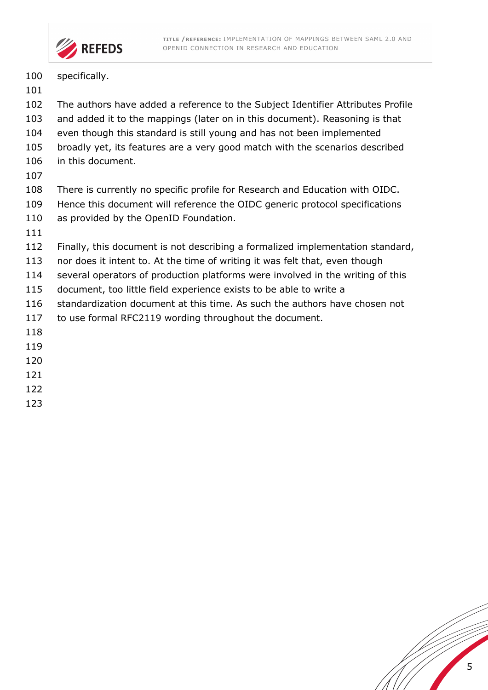

- 100 specifically.
- 
- The authors have added a reference to the Subject Identifier Attributes Profile
- and added it to the mappings (later on in this document). Reasoning is that
- even though this standard is still young and has not been implemented
- broadly yet, its features are a very good match with the scenarios described
- in this document.
- 
- There is currently no specific profile for Research and Education with OIDC.
- Hence this document will reference the OIDC generic protocol specifications
- 110 as provided by the OpenID Foundation.
- 
- Finally, this document is not describing a formalized implementation standard,
- nor does it intent to. At the time of writing it was felt that, even though
- several operators of production platforms were involved in the writing of this
- document, too little field experience exists to be able to write a
- standardization document at this time. As such the authors have chosen not
- to use formal RFC2119 wording throughout the document.
- 
- 
- 
- 
- 
- 

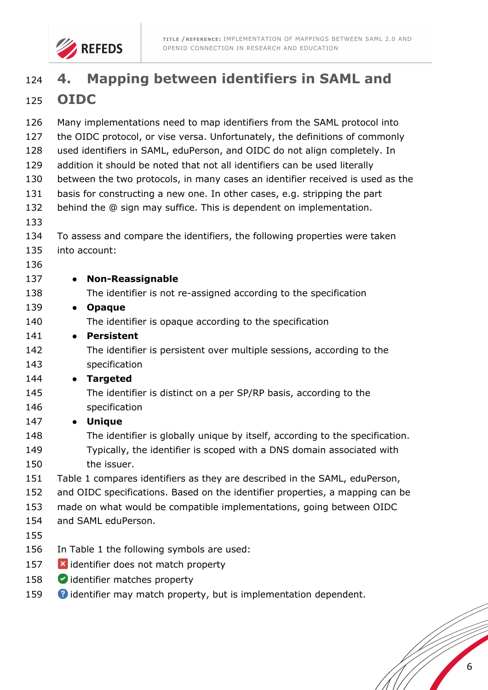

# **4. Mapping between identifiers in SAML and OIDC**

| 126 | Many implementations need to map identifiers from the SAML protocol into       |  |  |  |
|-----|--------------------------------------------------------------------------------|--|--|--|
| 127 | the OIDC protocol, or vise versa. Unfortunately, the definitions of commonly   |  |  |  |
| 128 | used identifiers in SAML, eduPerson, and OIDC do not align completely. In      |  |  |  |
| 129 | addition it should be noted that not all identifiers can be used literally     |  |  |  |
| 130 | between the two protocols, in many cases an identifier received is used as the |  |  |  |
| 131 | basis for constructing a new one. In other cases, e.g. stripping the part      |  |  |  |
| 132 | behind the @ sign may suffice. This is dependent on implementation.            |  |  |  |
| 133 |                                                                                |  |  |  |
| 134 | To assess and compare the identifiers, the following properties were taken     |  |  |  |
| 135 | into account:                                                                  |  |  |  |
| 136 |                                                                                |  |  |  |
| 137 | <b>Non-Reassignable</b><br>$\bullet$                                           |  |  |  |
| 138 | The identifier is not re-assigned according to the specification               |  |  |  |
| 139 | <b>Opaque</b><br>$\bullet$                                                     |  |  |  |
| 140 | The identifier is opaque according to the specification                        |  |  |  |
| 141 | <b>Persistent</b><br>$\bullet$                                                 |  |  |  |
| 142 | The identifier is persistent over multiple sessions, according to the          |  |  |  |
| 143 | specification                                                                  |  |  |  |
| 144 | <b>Targeted</b><br>$\bullet$                                                   |  |  |  |
| 145 | The identifier is distinct on a per SP/RP basis, according to the              |  |  |  |
| 146 | specification                                                                  |  |  |  |
| 147 | • Unique                                                                       |  |  |  |
| 148 | The identifier is globally unique by itself, according to the specification.   |  |  |  |
| 149 | Typically, the identifier is scoped with a DNS domain associated with          |  |  |  |
| 150 | the issuer.                                                                    |  |  |  |
| 151 | Table 1 compares identifiers as they are described in the SAML, eduPerson,     |  |  |  |
| 152 | and OIDC specifications. Based on the identifier properties, a mapping can be  |  |  |  |
| 153 | made on what would be compatible implementations, going between OIDC           |  |  |  |
| 154 | and SAML eduPerson.                                                            |  |  |  |
| 155 |                                                                                |  |  |  |
| 156 | In Table 1 the following symbols are used:                                     |  |  |  |
| 157 | <b>×</b> identifier does not match property                                    |  |  |  |
| 158 | didentifier matches property                                                   |  |  |  |
| 159 | <sup>2</sup> identifier may match property, but is implementation dependent.   |  |  |  |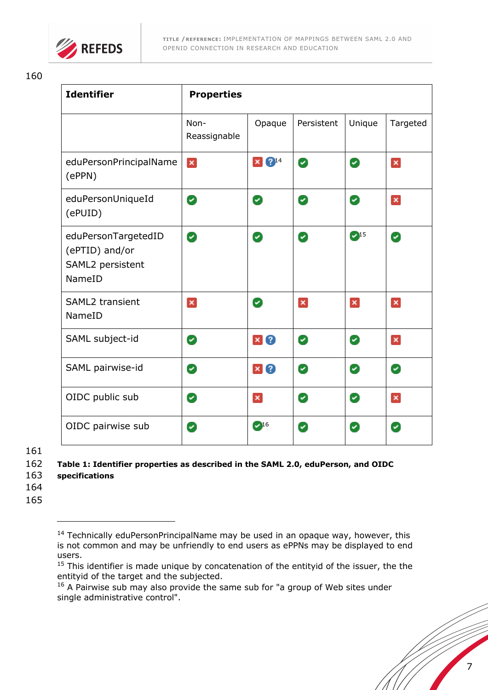

| <b>Identifier</b>                                                   | <b>Properties</b>    |                          |            |                             |              |
|---------------------------------------------------------------------|----------------------|--------------------------|------------|-----------------------------|--------------|
|                                                                     | Non-<br>Reassignable | Opaque                   | Persistent | Unique                      | Targeted     |
| eduPersonPrincipalName<br>(ePPN)                                    | ×                    | $^{214}$<br>$\mathbf{x}$ | Ø          | Ø                           | ×            |
| eduPersonUniqueId<br>(ePUID)                                        | Ø                    | Ø                        | Ø          | Ø                           | ×            |
| eduPersonTargetedID<br>(ePTID) and/or<br>SAML2 persistent<br>NameID | Ø                    | Ø                        | Ø          | $\mathcal{L}$ <sup>15</sup> | Ø            |
| <b>SAML2 transient</b><br>NameID                                    | $\mathbf{x}$         | Ø                        | ×          | $\mathbf{x}$                | ×            |
| SAML subject-id                                                     | Ø                    | $\mathbf{x}$<br>3        | Ø          | Ø                           | $\mathbf{x}$ |
| SAML pairwise-id                                                    | Ø                    | 3<br>$\mathbf{x}$        | Ø          | Ø                           | Ø            |
| OIDC public sub                                                     | Ø                    | ×                        | Ø          | Ø                           | $\mathbf{x}$ |
| OIDC pairwise sub                                                   | Ø                    | $\bullet$ 16             | Ø          | Ø                           | Ø            |

161

163 **specifications**

j

164

<sup>162</sup> **Table 1: Identifier properties as described in the SAML 2.0, eduPerson, and OIDC** 

 $14$  Technically eduPersonPrincipalName may be used in an opaque way, however, this is not common and may be unfriendly to end users as ePPNs may be displayed to end users.

 $15$  This identifier is made unique by concatenation of the entityid of the issuer, the the entityid of the target and the subjected.

<sup>&</sup>lt;sup>16</sup> A Pairwise sub may also provide the same sub for "a group of Web sites under single administrative control".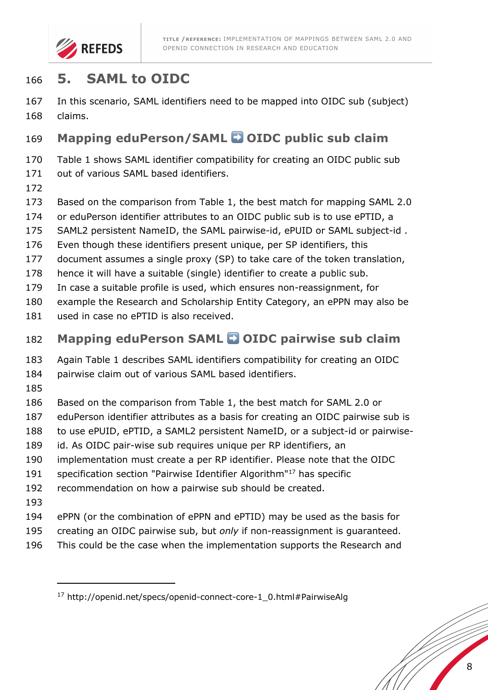

# **5. SAML to OIDC**

 In this scenario, SAML identifiers need to be mapped into OIDC sub (subject) claims.

# **Mapping eduPerson/SAML** ➡ **OIDC public sub claim**

Table 1 shows SAML identifier compatibility for creating an OIDC public sub

- 171 out of various SAML based identifiers.
- 
- Based on the comparison from Table 1, the best match for mapping SAML 2.0
- or eduPerson identifier attributes to an OIDC public sub is to use ePTID, a
- SAML2 persistent NameID, the SAML pairwise-id, ePUID or SAML subject-id .
- Even though these identifiers present unique, per SP identifiers, this
- document assumes a single proxy (SP) to take care of the token translation,
- hence it will have a suitable (single) identifier to create a public sub.
- In case a suitable profile is used, which ensures non-reassignment, for
- example the Research and Scholarship Entity Category, an ePPN may also be
- used in case no ePTID is also received.

## **Mapping eduPerson SAML** ➡ **OIDC pairwise sub claim**

Again Table 1 describes SAML identifiers compatibility for creating an OIDC

- pairwise claim out of various SAML based identifiers.
- 
- Based on the comparison from Table 1, the best match for SAML 2.0 or
- eduPerson identifier attributes as a basis for creating an OIDC pairwise sub is
- to use ePUID, ePTID, a SAML2 persistent NameID, or a subject-id or pairwise-
- id. As OIDC pair-wise sub requires unique per RP identifiers, an
- implementation must create a per RP identifier. Please note that the OIDC
- 191 specification section "Pairwise Identifier Algorithm"<sup>17</sup> has specific
- recommendation on how a pairwise sub should be created.
- 

- ePPN (or the combination of ePPN and ePTID) may be used as the basis for
- creating an OIDC pairwise sub, but *only* if non-reassignment is guaranteed.
- This could be the case when the implementation supports the Research and

http://openid.net/specs/openid-connect-core-1\_0.html#PairwiseAlg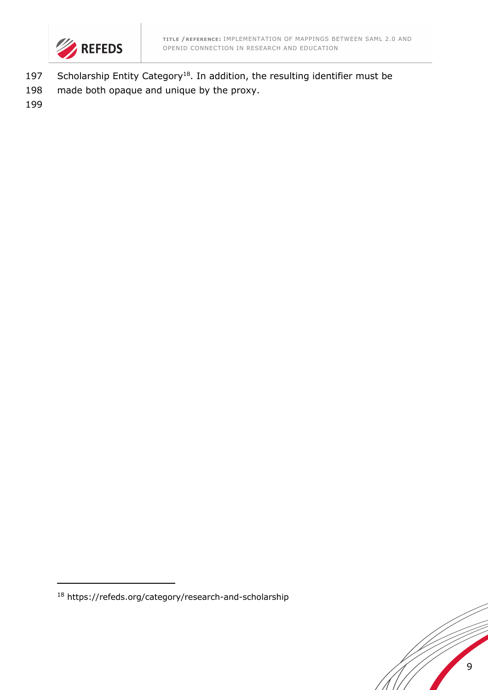

- 197 Scholarship Entity Category<sup>18</sup>. In addition, the resulting identifier must be
- 198 made both opaque and unique by the proxy.



<sup>18</sup> https://refeds.org/category/research-and-scholarship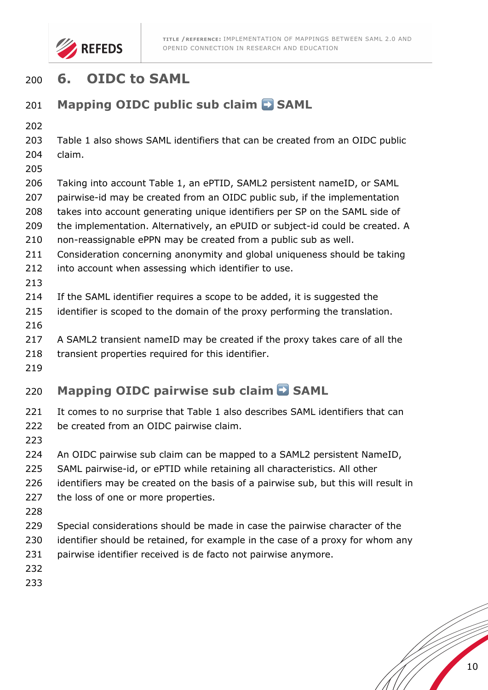

# **6. OIDC to SAML**

# 201 **Mapping OIDC public sub claim <b>E** SAML

 Table 1 also shows SAML identifiers that can be created from an OIDC public claim.

- 
- Taking into account Table 1, an ePTID, SAML2 persistent nameID, or SAML
- pairwise-id may be created from an OIDC public sub, if the implementation
- takes into account generating unique identifiers per SP on the SAML side of
- the implementation. Alternatively, an ePUID or subject-id could be created. A
- non-reassignable ePPN may be created from a public sub as well.
- Consideration concerning anonymity and global uniqueness should be taking
- 212 into account when assessing which identifier to use.
- 
- If the SAML identifier requires a scope to be added, it is suggested the
- identifier is scoped to the domain of the proxy performing the translation.
- 
- A SAML2 transient nameID may be created if the proxy takes care of all the
- 218 transient properties required for this identifier.
- 

# **Mapping OIDC pairwise sub claim D SAML**

- 221 It comes to no surprise that Table 1 also describes SAML identifiers that can
- 222 be created from an OIDC pairwise claim.
- 
- 224 An OIDC pairwise sub claim can be mapped to a SAML2 persistent NameID,
- SAML pairwise-id, or ePTID while retaining all characteristics. All other
- identifiers may be created on the basis of a pairwise sub, but this will result in
- 227 the loss of one or more properties.
- 
- Special considerations should be made in case the pairwise character of the
- identifier should be retained, for example in the case of a proxy for whom any
- pairwise identifier received is de facto not pairwise anymore.
- 
-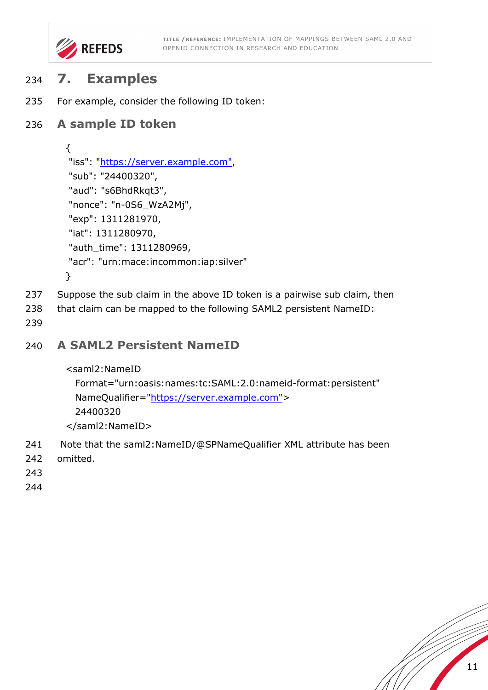

# <sup>234</sup> **7. Examples**

235 For example, consider the following ID token:

#### 236 **A sample ID token**

```
{
"iss": "https://server.example.com",
"sub": "24400320",
"aud": "s6BhdRkqt3",
"nonce": "n-0S6_WzA2Mj",
"exp": 1311281970,
"iat": 1311280970,
"auth_time": 1311280969,
"acr": "urn:mace:incommon:iap:silver"
}
```
- 237 Suppose the sub claim in the above ID token is a pairwise sub claim, then
- 238 that claim can be mapped to the following SAML2 persistent NameID:
- 239

#### 240 **A SAML2 Persistent NameID**

```
<saml2:NameID
```

```
 Format="urn:oasis:names:tc:SAML:2.0:nameid-format:persistent"
NameQualifier="https://server.example.com">
 24400320
```
</saml2:NameID>

- 241 Note that the saml2:NameID/@SPNameQualifier XML attribute has been
- 242 omitted.
- 243
- 244

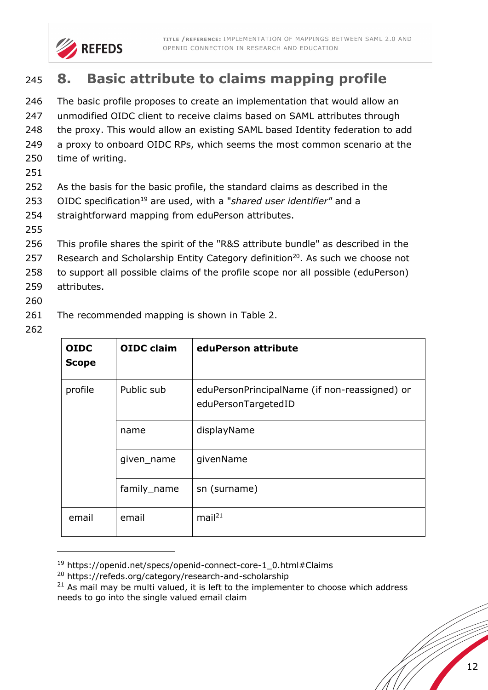

# <sup>245</sup> **8. Basic attribute to claims mapping profile**

 The basic profile proposes to create an implementation that would allow an unmodified OIDC client to receive claims based on SAML attributes through 248 the proxy. This would allow an existing SAML based Identity federation to add a proxy to onboard OIDC RPs, which seems the most common scenario at the time of writing.

- 251
- 252 As the basis for the basic profile, the standard claims as described in the
- 253 OIDC specification<sup>19</sup> are used, with a "*shared user identifier*" and a
- 254 straightforward mapping from eduPerson attributes.
- 255
- 256 This profile shares the spirit of the "R&S attribute bundle" as described in the
- 257 Research and Scholarship Entity Category definition $20$ . As such we choose not
- 258 to support all possible claims of the profile scope nor all possible (eduPerson) 259 attributes.
- 
- 260
- 261 The recommended mapping is shown in Table 2.
- 262

j

| <b>OIDC</b><br><b>Scope</b> | <b>OIDC</b> claim | eduPerson attribute                                                  |
|-----------------------------|-------------------|----------------------------------------------------------------------|
| profile                     | Public sub        | eduPersonPrincipalName (if non-reassigned) or<br>eduPersonTargetedID |
|                             | name              | displayName                                                          |
|                             | given_name        | givenName                                                            |
|                             | family_name       | sn (surname)                                                         |
| email                       | email             | mail <sup>21</sup>                                                   |

<sup>&</sup>lt;sup>19</sup> https://openid.net/specs/openid-connect-core-1\_0.html#Claims

 $21$  As mail may be multi valued, it is left to the implementer to choose which address needs to go into the single valued email claim

<sup>20</sup> https://refeds.org/category/research-and-scholarship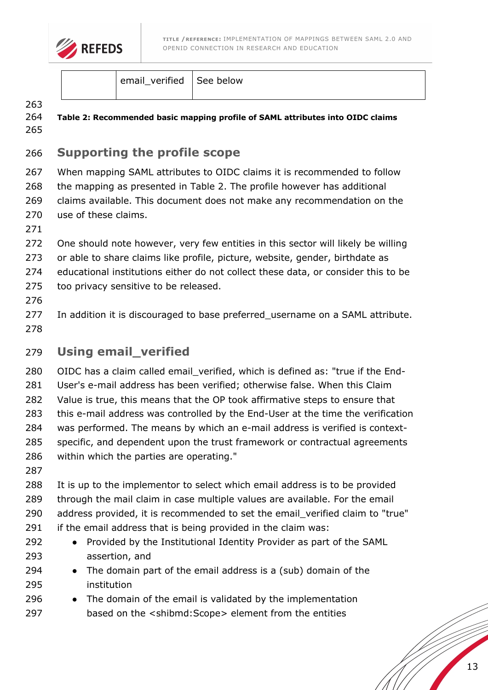

email verified See below

#### 

 **Table 2: Recommended basic mapping profile of SAML attributes into OIDC claims** 

### **Supporting the profile scope**

 When mapping SAML attributes to OIDC claims it is recommended to follow the mapping as presented in Table 2. The profile however has additional claims available. This document does not make any recommendation on the 270 use of these claims.

 One should note however, very few entities in this sector will likely be willing or able to share claims like profile, picture, website, gender, birthdate as educational institutions either do not collect these data, or consider this to be too privacy sensitive to be released.

- 
- In addition it is discouraged to base preferred\_username on a SAML attribute.

### **Using email\_verified**

OIDC has a claim called email\_verified, which is defined as: "true if the End-

User's e-mail address has been verified; otherwise false. When this Claim

Value is true, this means that the OP took affirmative steps to ensure that

this e-mail address was controlled by the End-User at the time the verification

 was performed. The means by which an e-mail address is verified is context-specific, and dependent upon the trust framework or contractual agreements

- within which the parties are operating."
- 

It is up to the implementor to select which email address is to be provided

through the mail claim in case multiple values are available. For the email

- 290 address provided, it is recommended to set the email verified claim to "true"
- if the email address that is being provided in the claim was:
- 292 Provided by the Institutional Identity Provider as part of the SAML assertion, and
- 294  $\bullet$  The domain part of the email address is a (sub) domain of the institution
- 296 The domain of the email is validated by the implementation
- based on the <shibmd:Scope> element from the entities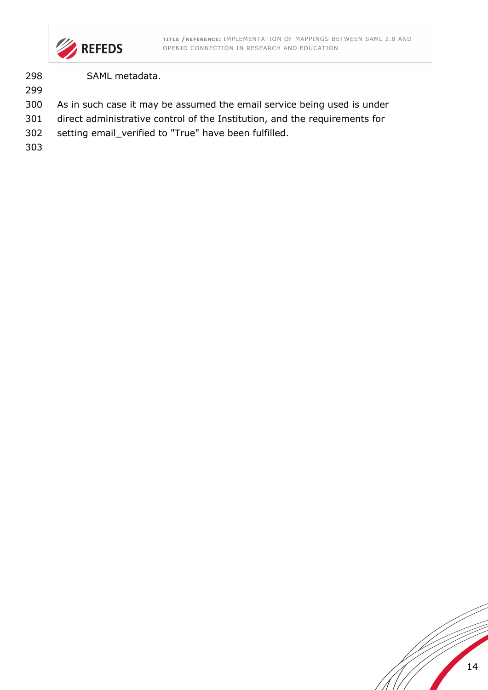

SAML metadata.

- As in such case it may be assumed the email service being used is under
- direct administrative control of the Institution, and the requirements for
- setting email\_verified to "True" have been fulfilled.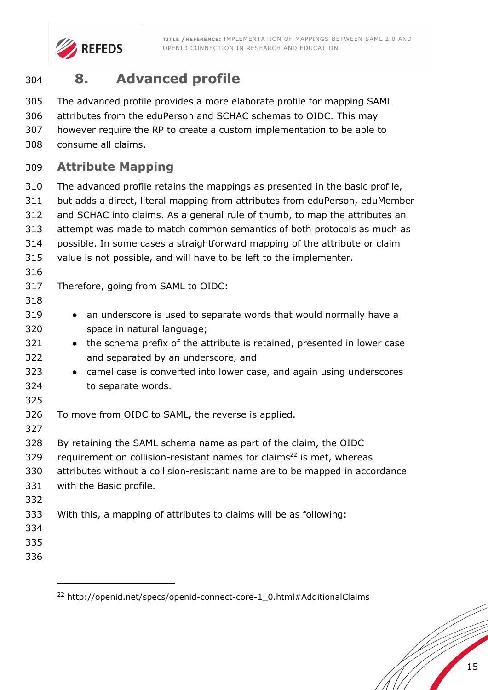

# **8. Advanced profile**

The advanced profile provides a more elaborate profile for mapping SAML

attributes from the eduPerson and SCHAC schemas to OIDC. This may

however require the RP to create a custom implementation to be able to

consume all claims.

### **Attribute Mapping**

 The advanced profile retains the mappings as presented in the basic profile, but adds a direct, literal mapping from attributes from eduPerson, eduMember and SCHAC into claims. As a general rule of thumb, to map the attributes an attempt was made to match common semantics of both protocols as much as possible. In some cases a straightforward mapping of the attribute or claim value is not possible, and will have to be left to the implementer. Therefore, going from SAML to OIDC: 319 • an underscore is used to separate words that would normally have a space in natural language; 321 • the schema prefix of the attribute is retained, presented in lower case and separated by an underscore, and 323 • camel case is converted into lower case, and again using underscores to separate words. To move from OIDC to SAML, the reverse is applied. By retaining the SAML schema name as part of the claim, the OIDC 329 requirement on collision-resistant names for claims<sup>22</sup> is met, whereas attributes without a collision-resistant name are to be mapped in accordance with the Basic profile. With this, a mapping of attributes to claims will be as following: 

http://openid.net/specs/openid-connect-core-1\_0.html#AdditionalClaims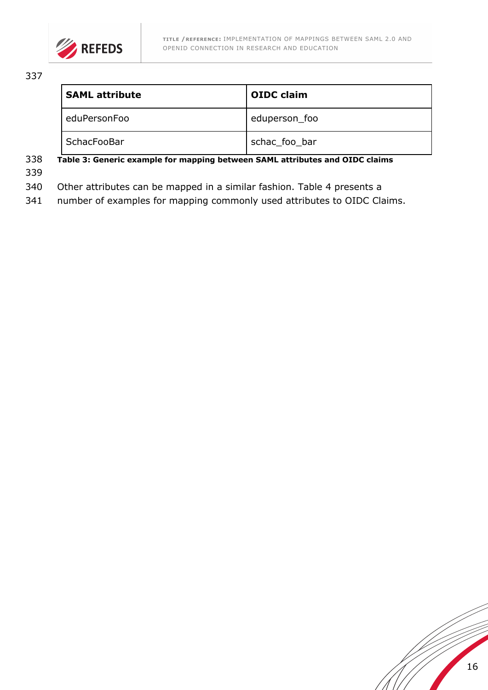

| <b>SAML attribute</b> | <b>OIDC claim</b> |
|-----------------------|-------------------|
| eduPersonFoo          | eduperson_foo     |
| SchacFooBar           | schac_foo_bar     |

#### 338 **Table 3: Generic example for mapping between SAML attributes and OIDC claims**

339

340 Other attributes can be mapped in a similar fashion. Table 4 presents a

341 number of examples for mapping commonly used attributes to OIDC Claims.

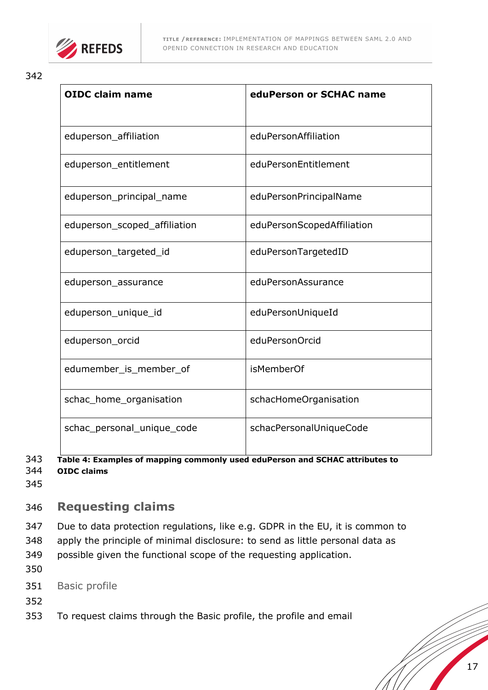

| <b>OIDC claim name</b>       | eduPerson or SCHAC name    |
|------------------------------|----------------------------|
| eduperson_affiliation        | eduPersonAffiliation       |
| eduperson_entitlement        | eduPersonEntitlement       |
| eduperson principal name     | eduPersonPrincipalName     |
| eduperson_scoped_affiliation | eduPersonScopedAffiliation |
| eduperson_targeted_id        | eduPersonTargetedID        |
| eduperson_assurance          | eduPersonAssurance         |
| eduperson_unique_id          | eduPersonUniqueId          |
| eduperson_orcid              | eduPersonOrcid             |
| edumember_is_member_of       | <i>isMemberOf</i>          |
| schac_home_organisation      | schacHomeOrganisation      |
| schac_personal_unique_code   | schacPersonalUniqueCode    |

#### 343 **Table 4: Examples of mapping commonly used eduPerson and SCHAC attributes to**  344 **OIDC claims**

345

# 346 **Requesting claims**

347 Due to data protection regulations, like e.g. GDPR in the EU, it is common to

- 348 apply the principle of minimal disclosure: to send as little personal data as
- 349 possible given the functional scope of the requesting application.
- 350
- 351 Basic profile
- 352
- 353 To request claims through the Basic profile, the profile and email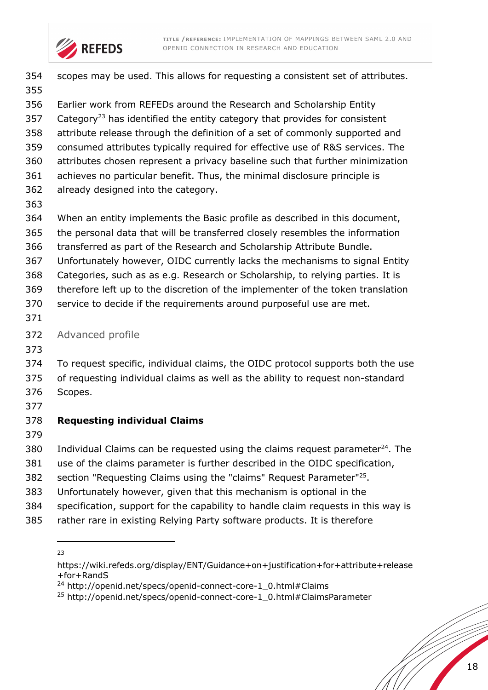



| 354        | scopes may be used. This allows for requesting a consistent set of attributes.         |
|------------|----------------------------------------------------------------------------------------|
| 355<br>356 | Earlier work from REFEDs around the Research and Scholarship Entity                    |
| 357        | Category <sup>23</sup> has identified the entity category that provides for consistent |
| 358        | attribute release through the definition of a set of commonly supported and            |
| 359        | consumed attributes typically required for effective use of R&S services. The          |
| 360        | attributes chosen represent a privacy baseline such that further minimization          |
| 361        | achieves no particular benefit. Thus, the minimal disclosure principle is              |
| 362<br>363 | already designed into the category.                                                    |
| 364        | When an entity implements the Basic profile as described in this document,             |
| 365        | the personal data that will be transferred closely resembles the information           |
| 366        | transferred as part of the Research and Scholarship Attribute Bundle.                  |
| 367        | Unfortunately however, OIDC currently lacks the mechanisms to signal Entity            |
| 368        | Categories, such as as e.g. Research or Scholarship, to relying parties. It is         |
| 369        | therefore left up to the discretion of the implementer of the token translation        |
| 370<br>371 | service to decide if the requirements around purposeful use are met.                   |
| 372        | Advanced profile                                                                       |
| 373        |                                                                                        |
| 374        | To request specific, individual claims, the OIDC protocol supports both the use        |
| 375        | of requesting individual claims as well as the ability to request non-standard         |
| 376        | Scopes.                                                                                |
| 377        |                                                                                        |
| 378        | <b>Requesting individual Claims</b>                                                    |
| 379        |                                                                                        |
| 380        | Individual Claims can be requested using the claims request parameter $^{24}$ . The    |
| 381        | use of the claims parameter is further described in the OIDC specification,            |
| 382        | section "Requesting Claims using the "claims" Request Parameter" <sup>25</sup> .       |
| 383        | Unfortunately however, given that this mechanism is optional in the                    |
| 384        | specification, support for the capability to handle claim requests in this way is      |
| 385        | rather rare in existing Relying Party software products. It is therefore               |

 $\overline{a}$ 

https://wiki.refeds.org/display/ENT/Guidance+on+justification+for+attribute+release +for+RandS

<sup>&</sup>lt;sup>24</sup> http://openid.net/specs/openid-connect-core-1\_0.html#Claims

http://openid.net/specs/openid-connect-core-1\_0.html#ClaimsParameter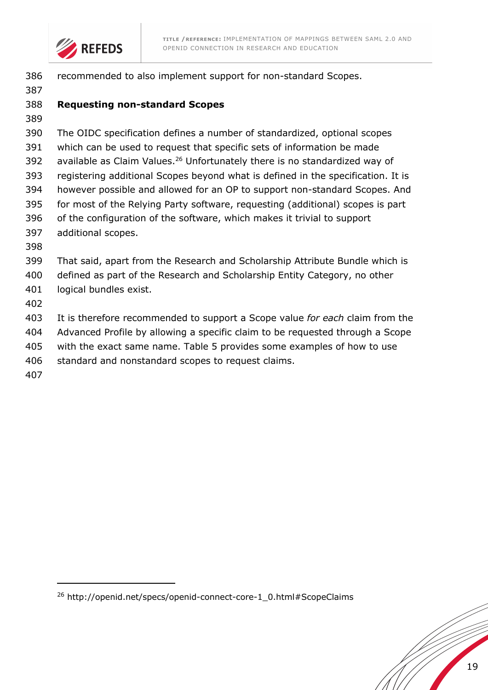

| 386 | recommended to also implement support for non-standard Scopes.                         |
|-----|----------------------------------------------------------------------------------------|
| 387 |                                                                                        |
| 388 | <b>Requesting non-standard Scopes</b>                                                  |
| 389 |                                                                                        |
| 390 | The OIDC specification defines a number of standardized, optional scopes               |
| 391 | which can be used to request that specific sets of information be made                 |
| 392 | available as Claim Values. <sup>26</sup> Unfortunately there is no standardized way of |
| 393 | registering additional Scopes beyond what is defined in the specification. It is       |
| 394 | however possible and allowed for an OP to support non-standard Scopes. And             |
| 395 | for most of the Relying Party software, requesting (additional) scopes is part         |
| 396 | of the configuration of the software, which makes it trivial to support                |
| 397 | additional scopes.                                                                     |
| 398 |                                                                                        |
| 399 | That said, apart from the Research and Scholarship Attribute Bundle which is           |
| 400 | defined as part of the Research and Scholarship Entity Category, no other              |
| 401 | logical bundles exist.                                                                 |
| 402 |                                                                                        |
| 403 | It is therefore recommended to support a Scope value for each claim from the           |
| 404 | Advanced Profile by allowing a specific claim to be requested through a Scope          |
| 405 | with the exact same name. Table 5 provides some examples of how to use                 |
| 406 | standard and nonstandard scopes to request claims.                                     |
| 407 |                                                                                        |
|     |                                                                                        |

http://openid.net/specs/openid-connect-core-1\_0.html#ScopeClaims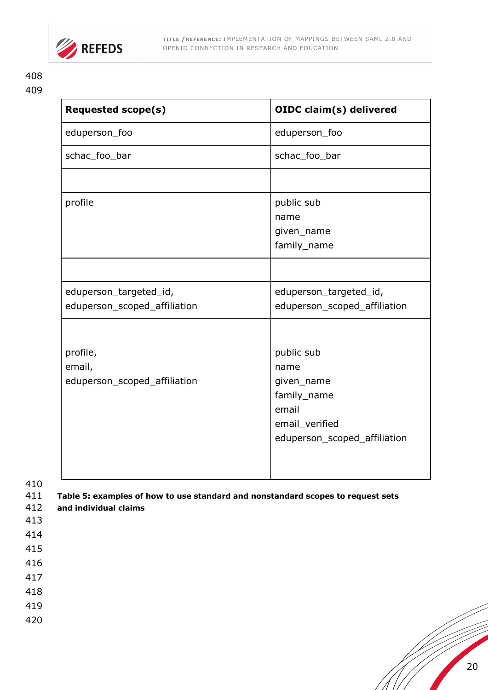

| <b>Requested scope(s)</b>    | <b>OIDC claim(s) delivered</b> |
|------------------------------|--------------------------------|
| eduperson_foo                | eduperson_foo                  |
| schac_foo_bar                | schac_foo_bar                  |
|                              |                                |
| profile                      | public sub                     |
|                              | name                           |
|                              | given_name                     |
|                              | family_name                    |
|                              |                                |
| eduperson_targeted_id,       | eduperson_targeted_id,         |
| eduperson_scoped_affiliation | eduperson_scoped_affiliation   |
|                              |                                |
| profile,                     | public sub                     |
| email,                       | name                           |
| eduperson_scoped_affiliation | given_name                     |
|                              | family_name                    |
|                              | email                          |
|                              | email_verified                 |
|                              | eduperson_scoped_affiliation   |
|                              |                                |
|                              |                                |

- 411 **Table 5: examples of how to use standard and nonstandard scopes to request sets**
- 412 **and individual claims**
- 413
- 414
- 415
- 416
- 417
- 418
- 419
- 420

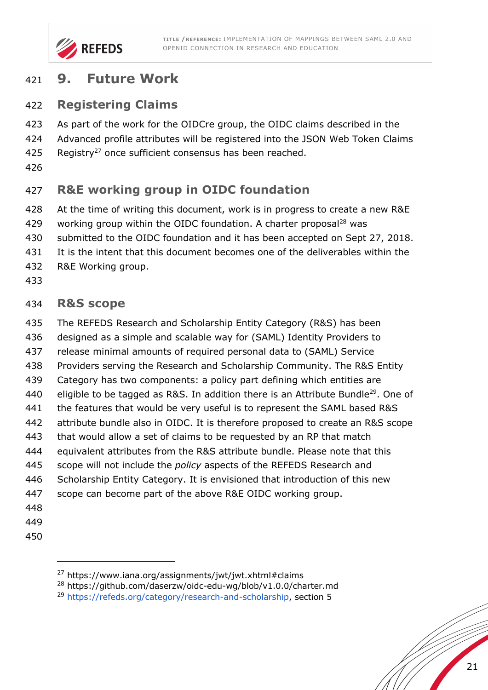

## **9. Future Work**

#### **Registering Claims**

- As part of the work for the OIDCre group, the OIDC claims described in the
- Advanced profile attributes will be registered into the JSON Web Token Claims
- 425 Registry<sup>27</sup> once sufficient consensus has been reached.
- 

# **R&E working group in OIDC foundation**

- At the time of writing this document, work is in progress to create a new R&E
- 429 working group within the OIDC foundation. A charter proposal<sup>28</sup> was
- submitted to the OIDC foundation and it has been accepted on Sept 27, 2018.
- It is the intent that this document becomes one of the deliverables within the
- R&E Working group.
- 

#### **R&S scope**

- The REFEDS Research and Scholarship Entity Category (R&S) has been
- designed as a simple and scalable way for (SAML) Identity Providers to
- release minimal amounts of required personal data to (SAML) Service
- Providers serving the Research and Scholarship Community. The R&S Entity
- Category has two components: a policy part defining which entities are
- 440 eligible to be tagged as R&S. In addition there is an Attribute Bundle<sup>29</sup>. One of
- the features that would be very useful is to represent the SAML based R&S
- attribute bundle also in OIDC. It is therefore proposed to create an R&S scope
- that would allow a set of claims to be requested by an RP that match
- equivalent attributes from the R&S attribute bundle. Please note that this
- scope will not include the *policy* aspects of the REFEDS Research and
- Scholarship Entity Category. It is envisioned that introduction of this new
- scope can become part of the above R&E OIDC working group.
- 
- 
- 

-

https://www.iana.org/assignments/jwt/jwt.xhtml#claims

https://github.com/daserzw/oidc-edu-wg/blob/v1.0.0/charter.md

https://refeds.org/category/research-and-scholarship, section 5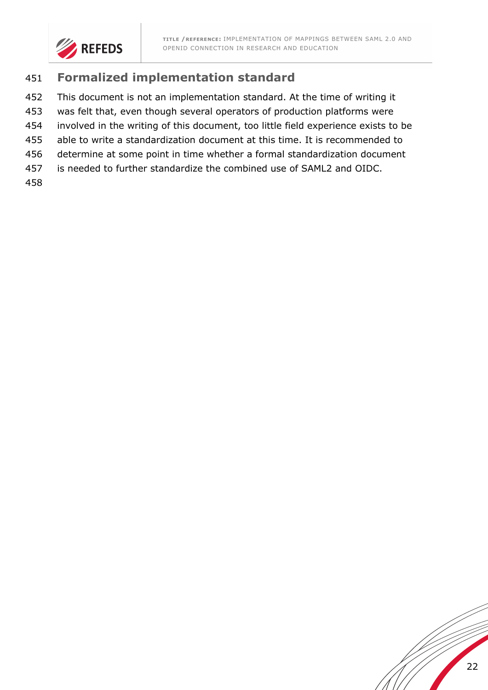

### **Formalized implementation standard**

- This document is not an implementation standard. At the time of writing it
- was felt that, even though several operators of production platforms were
- involved in the writing of this document, too little field experience exists to be
- able to write a standardization document at this time. It is recommended to
- determine at some point in time whether a formal standardization document
- is needed to further standardize the combined use of SAML2 and OIDC.
- 

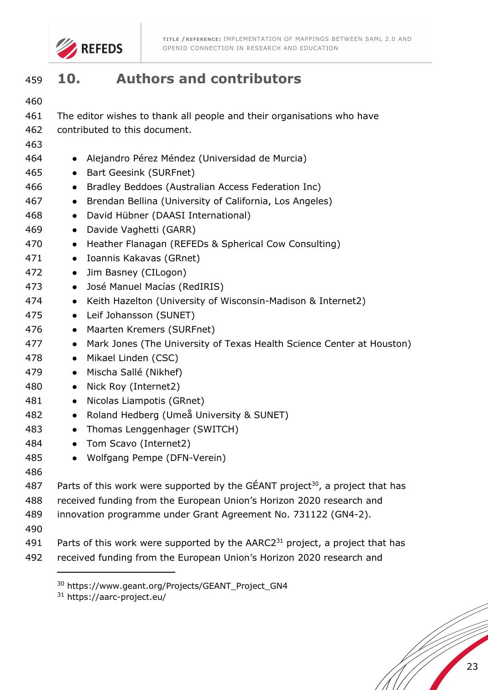

# **10. Authors and contributors**

| 460 |                                                                                             |  |  |
|-----|---------------------------------------------------------------------------------------------|--|--|
| 461 | The editor wishes to thank all people and their organisations who have                      |  |  |
| 462 | contributed to this document.                                                               |  |  |
| 463 |                                                                                             |  |  |
| 464 | • Alejandro Pérez Méndez (Universidad de Murcia)                                            |  |  |
| 465 | <b>Bart Geesink (SURFnet)</b><br>$\bullet$                                                  |  |  |
| 466 | Bradley Beddoes (Australian Access Federation Inc)<br>$\bullet$                             |  |  |
| 467 | Brendan Bellina (University of California, Los Angeles)<br>$\bullet$                        |  |  |
| 468 | David Hübner (DAASI International)<br>$\bullet$                                             |  |  |
| 469 | Davide Vaghetti (GARR)<br>$\bullet$                                                         |  |  |
| 470 | Heather Flanagan (REFEDs & Spherical Cow Consulting)<br>$\bullet$                           |  |  |
| 471 | Ioannis Kakavas (GRnet)<br>$\bullet$                                                        |  |  |
| 472 | Jim Basney (CILogon)<br>$\bullet$                                                           |  |  |
| 473 | José Manuel Macías (RedIRIS)<br>$\bullet$                                                   |  |  |
| 474 | Keith Hazelton (University of Wisconsin-Madison & Internet2)<br>$\bullet$                   |  |  |
| 475 | Leif Johansson (SUNET)<br>$\bullet$                                                         |  |  |
| 476 | Maarten Kremers (SURFnet)<br>$\bullet$                                                      |  |  |
| 477 | Mark Jones (The University of Texas Health Science Center at Houston)<br>$\bullet$          |  |  |
| 478 | Mikael Linden (CSC)<br>$\bullet$                                                            |  |  |
| 479 | Mischa Sallé (Nikhef)<br>$\bullet$                                                          |  |  |
| 480 | Nick Roy (Internet2)<br>$\bullet$                                                           |  |  |
| 481 | Nicolas Liampotis (GRnet)<br>$\bullet$                                                      |  |  |
| 482 | Roland Hedberg (Umeå University & SUNET)<br>$\bullet$                                       |  |  |
| 483 | Thomas Lenggenhager (SWITCH)<br>$\bullet$                                                   |  |  |
| 484 | Tom Scavo (Internet2)<br>$\bullet$                                                          |  |  |
| 485 | Wolfgang Pempe (DFN-Verein)                                                                 |  |  |
| 486 |                                                                                             |  |  |
| 487 | Parts of this work were supported by the $GÉANT$ project <sup>30</sup> , a project that has |  |  |
| 488 | received funding from the European Union's Horizon 2020 research and                        |  |  |
| 489 | innovation programme under Grant Agreement No. 731122 (GN4-2).                              |  |  |
| 490 |                                                                                             |  |  |
| 491 | Parts of this work were supported by the AARC2 <sup>31</sup> project, a project that has    |  |  |
| 492 | received funding from the European Union's Horizon 2020 research and                        |  |  |

<sup>&</sup>lt;sup>30</sup> https://www.geant.org/Projects/GEANT\_Project\_GN4

https://aarc-project.eu/